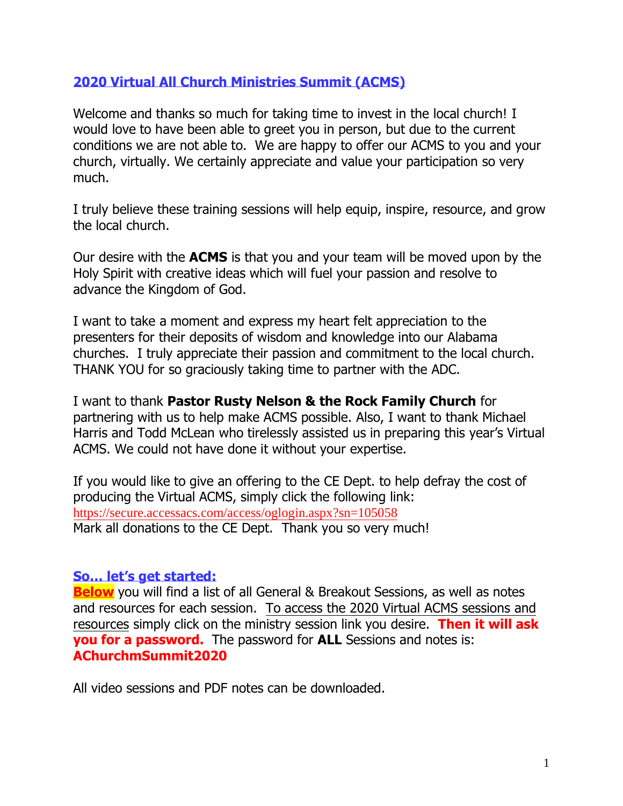# **2020 Virtual All Church Ministries Summit (ACMS)**

Welcome and thanks so much for taking time to invest in the local church! I would love to have been able to greet you in person, but due to the current conditions we are not able to. We are happy to offer our ACMS to you and your church, virtually. We certainly appreciate and value your participation so very much.

I truly believe these training sessions will help equip, inspire, resource, and grow the local church.

Our desire with the **ACMS** is that you and your team will be moved upon by the Holy Spirit with creative ideas which will fuel your passion and resolve to advance the Kingdom of God.

I want to take a moment and express my heart felt appreciation to the presenters for their deposits of wisdom and knowledge into our Alabama churches. I truly appreciate their passion and commitment to the local church. THANK YOU for so graciously taking time to partner with the ADC.

I want to thank **Pastor Rusty Nelson & the Rock Family Church** for partnering with us to help make ACMS possible. Also, I want to thank Michael Harris and Todd McLean who tirelessly assisted us in preparing this year's Virtual ACMS. We could not have done it without your expertise.

If you would like to give an offering to the CE Dept. to help defray the cost of producing the Virtual ACMS, simply click the following link: <https://secure.accessacs.com/access/oglogin.aspx?sn=105058> Mark all donations to the CE Dept. Thank you so very much!

# **So… let's get started:**

**Below** you will find a list of all General & Breakout Sessions, as well as notes and resources for each session. To access the 2020 Virtual ACMS sessions and resources simply click on the ministry session link you desire. **Then it will ask you for a password.** The password for **ALL** Sessions and notes is: **AChurchmSummit2020**

All video sessions and PDF notes can be downloaded.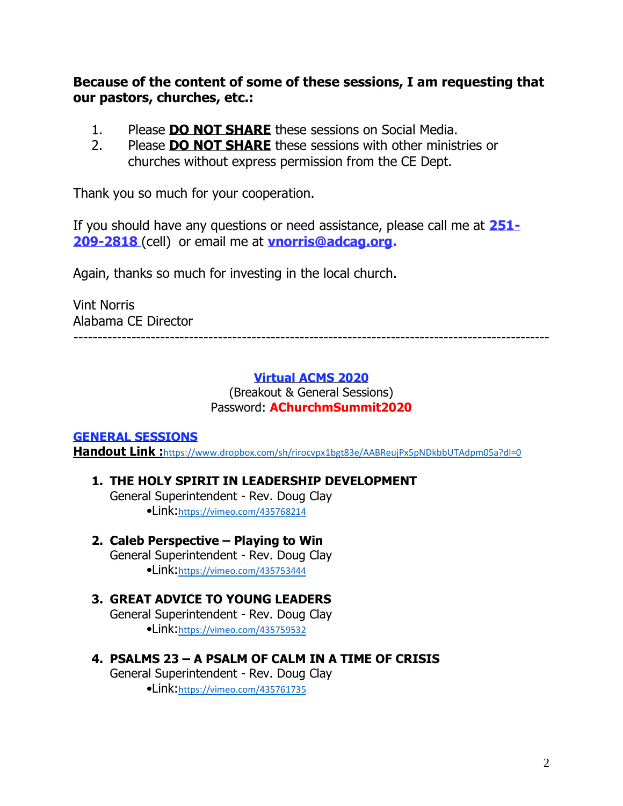**Because of the content of some of these sessions, I am requesting that our pastors, churches, etc.:**

- 1. Please **DO NOT SHARE** these sessions on Social Media.
- 2. Please **DO NOT SHARE** these sessions with other ministries or churches without express permission from the CE Dept.

Thank you so much for your cooperation.

If you should have any questions or need assistance, please call me at **251- 209-2818** (cell) or email me at **[vnorris@adcag.org.](mailto:vnorris@adcag.org)**

Again, thanks so much for investing in the local church.

Vint Norris Alabama CE Director

---------------------------------------------------------------------------------------------------

### **Virtual ACMS 2020**

(Breakout & General Sessions) Password: **AChurchmSummit2020**

## **GENERAL SESSIONS**

Handout Link : <https://www.dropbox.com/sh/rirocvpx1bgt83e/AABReujPx5pNDkbbUTAdpm05a?dl=0>

## **1. THE HOLY SPIRIT IN LEADERSHIP DEVELOPMENT**

General Superintendent - Rev. Doug Clay •Link:<https://vimeo.com/435768214>

**2. Caleb Perspective – Playing to Win** General Superintendent - Rev. Doug Clay •Link:<https://vimeo.com/435753444>

# **3. GREAT ADVICE TO YOUNG LEADERS**

General Superintendent - Rev. Doug Clay •Link:<https://vimeo.com/435759532>

**4. PSALMS 23 – A PSALM OF CALM IN A TIME OF CRISIS**

General Superintendent - Rev. Doug Clay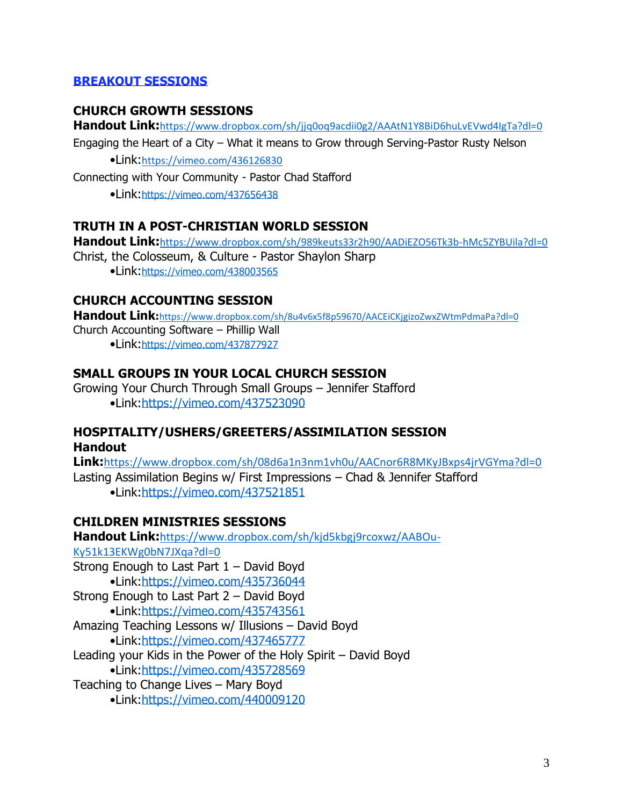## **BREAKOUT SESSIONS**

### **CHURCH GROWTH SESSIONS**

**Handout Link:**<https://www.dropbox.com/sh/jjq0oq9acdii0g2/AAAtN1Y8BiD6huLvEVwd4IgTa?dl=0>

Engaging the Heart of a City – What it means to Grow through Serving-Pastor Rusty Nelson

•Link:<https://vimeo.com/436126830>

Connecting with Your Community - Pastor Chad Stafford

•Link:<https://vimeo.com/437656438>

### **TRUTH IN A POST-CHRISTIAN WORLD SESSION**

**Handout Link:**<https://www.dropbox.com/sh/989keuts33r2h90/AADiEZO56Tk3b-hMc5ZYBUila?dl=0> Christ, the Colosseum, & Culture - Pastor Shaylon Sharp •Link:<https://vimeo.com/438003565>

## **CHURCH ACCOUNTING SESSION**

**Handout Link:**<https://www.dropbox.com/sh/8u4v6x5f8p59670/AACEiCKjgizoZwxZWtmPdmaPa?dl=0> Church Accounting Software – Phillip Wall •Link:<https://vimeo.com/437877927>

## **SMALL GROUPS IN YOUR LOCAL CHURCH SESSION**

Growing Your Church Through Small Groups – Jennifer Stafford •Link[:https://vimeo.com/437523090](https://vimeo.com/437523090)

## **HOSPITALITY/USHERS/GREETERS/ASSIMILATION SESSION Handout**

**Link:**<https://www.dropbox.com/sh/08d6a1n3nm1vh0u/AACnor6R8MKyJBxps4jrVGYma?dl=0> Lasting Assimilation Begins w/ First Impressions – Chad & Jennifer Stafford •Link[:https://vimeo.com/437521851](https://vimeo.com/437521851)

## **CHILDREN MINISTRIES SESSIONS**

**Handout Link:**[https://www.dropbox.com/sh/kjd5kbgj9rcoxwz/AABOu-](https://www.dropbox.com/sh/kjd5kbgj9rcoxwz/AABOu-Ky51k13EKWg0bN7JXqa?dl=0)[Ky51k13EKWg0bN7JXqa?dl=0](https://www.dropbox.com/sh/kjd5kbgj9rcoxwz/AABOu-Ky51k13EKWg0bN7JXqa?dl=0) Strong Enough to Last Part 1 – David Boyd •Link:<https://vimeo.com/435736044> Strong Enough to Last Part 2 – David Boyd •Link:<https://vimeo.com/435743561> Amazing Teaching Lessons w/ Illusions – David Boyd •Link:<https://vimeo.com/437465777> Leading your Kids in the Power of the Holy Spirit – David Boyd •Link:<https://vimeo.com/435728569> Teaching to Change Lives – Mary Boyd •Link:<https://vimeo.com/440009120>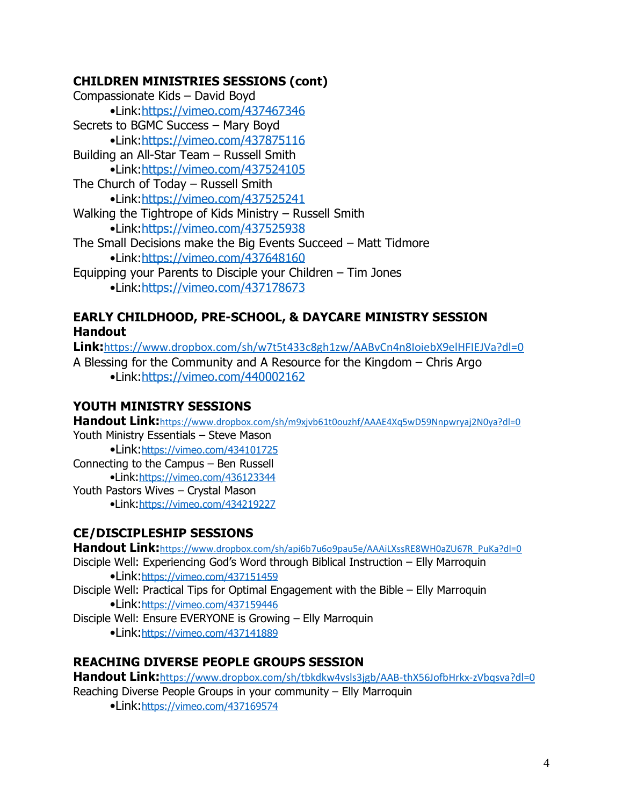# **CHILDREN MINISTRIES SESSIONS (cont)**

Compassionate Kids – David Boyd •Link:<https://vimeo.com/437467346> Secrets to BGMC Success – Mary Boyd •Link:<https://vimeo.com/437875116> Building an All-Star Team – Russell Smith •Link:<https://vimeo.com/437524105> The Church of Today – Russell Smith •Link:<https://vimeo.com/437525241> Walking the Tightrope of Kids Ministry – Russell Smith •Link:<https://vimeo.com/437525938> The Small Decisions make the Big Events Succeed – Matt Tidmore •Link:<https://vimeo.com/437648160> Equipping your Parents to Disciple your Children – Tim Jones •Link:<https://vimeo.com/437178673>

# **EARLY CHILDHOOD, PRE-SCHOOL, & DAYCARE MINISTRY SESSION Handout**

**Link:**<https://www.dropbox.com/sh/w7t5t433c8gh1zw/AABvCn4n8IoiebX9elHFIEJVa?dl=0> A Blessing for the Community and A Resource for the Kingdom – Chris Argo •Link[:https://vimeo.com/440002162](https://vimeo.com/440002162)

# **YOUTH MINISTRY SESSIONS**

**Handout Link:**<https://www.dropbox.com/sh/m9xjvb61t0ouzhf/AAAE4Xq5wD59Nnpwryaj2N0ya?dl=0> Youth Ministry Essentials – Steve Mason •Link:<https://vimeo.com/434101725>

Connecting to the Campus – Ben Russell •Link:<https://vimeo.com/436123344> Youth Pastors Wives – Crystal Mason •Link:<https://vimeo.com/434219227>

# **CE/DISCIPLESHIP SESSIONS**

**Handout Link:**[https://www.dropbox.com/sh/api6b7u6o9pau5e/AAAiLXssRE8WH0aZU67R\\_PuKa?dl=0](https://www.dropbox.com/sh/api6b7u6o9pau5e/AAAiLXssRE8WH0aZU67R_PuKa?dl=0)

Disciple Well: Experiencing God's Word through Biblical Instruction – Elly Marroquin •Link:<https://vimeo.com/437151459>

Disciple Well: Practical Tips for Optimal Engagement with the Bible – Elly Marroquin •Link:<https://vimeo.com/437159446>

Disciple Well: Ensure EVERYONE is Growing – Elly Marroquin

•Link:<https://vimeo.com/437141889>

# **REACHING DIVERSE PEOPLE GROUPS SESSION**

Handout Link: <https://www.dropbox.com/sh/tbkdkw4vsls3jgb/AAB-thX56JofbHrkx-zVbqsva?dl=0>

Reaching Diverse People Groups in your community – Elly Marroquin

•Link:<https://vimeo.com/437169574>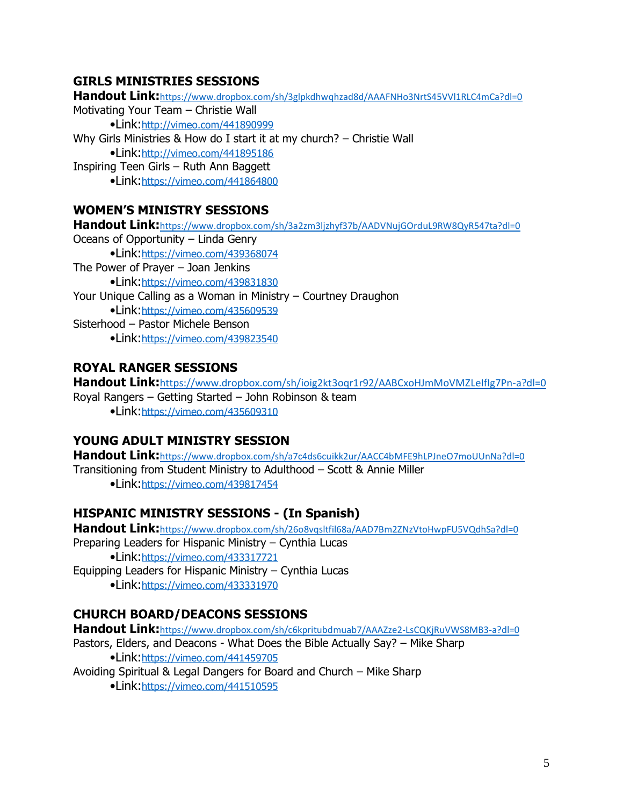## **GIRLS MINISTRIES SESSIONS**

**Handout Link:**<https://www.dropbox.com/sh/3glpkdhwqhzad8d/AAAFNHo3NrtS45VVl1RLC4mCa?dl=0> Motivating Your Team – Christie Wall •Link:<http://vimeo.com/441890999> Why Girls Ministries & How do I start it at my church? – Christie Wall •Link:<http://vimeo.com/441895186> Inspiring Teen Girls – Ruth Ann Baggett •Link:<https://vimeo.com/441864800> **WOMEN'S MINISTRY SESSIONS**

**Handout Link:**<https://www.dropbox.com/sh/3a2zm3ljzhyf37b/AADVNujGOrduL9RW8QyR547ta?dl=0> Oceans of Opportunity – Linda Genry •Link:<https://vimeo.com/439368074> The Power of Prayer – Joan Jenkins •Link:<https://vimeo.com/439831830> Your Unique Calling as a Woman in Ministry – Courtney Draughon •Link:<https://vimeo.com/435609539> Sisterhood – Pastor Michele Benson •Link:<https://vimeo.com/439823540>

# **ROYAL RANGER SESSIONS**

**Handout Link:**<https://www.dropbox.com/sh/ioig2kt3oqr1r92/AABCxoHJmMoVMZLeIfIg7Pn-a?dl=0> Royal Rangers – Getting Started – John Robinson & team •Link:<https://vimeo.com/435609310>

# **YOUNG ADULT MINISTRY SESSION**

**Handout Link:**<https://www.dropbox.com/sh/a7c4ds6cuikk2ur/AACC4bMFE9hLPJneO7moUUnNa?dl=0> Transitioning from Student Ministry to Adulthood – Scott & Annie Miller •Link:<https://vimeo.com/439817454>

# **HISPANIC MINISTRY SESSIONS - (In Spanish)**

**Handout Link:**<https://www.dropbox.com/sh/26o8vqsltfil68a/AAD7Bm2ZNzVtoHwpFU5VQdhSa?dl=0> Preparing Leaders for Hispanic Ministry – Cynthia Lucas •Link:<https://vimeo.com/433317721> Equipping Leaders for Hispanic Ministry – Cynthia Lucas •Link:<https://vimeo.com/433331970>

# **CHURCH BOARD/DEACONS SESSIONS**

**Handout Link:**<https://www.dropbox.com/sh/c6kpritubdmuab7/AAAZze2-LsCQKjRuVWS8MB3-a?dl=0> Pastors, Elders, and Deacons - What Does the Bible Actually Say? – Mike Sharp •Link:<https://vimeo.com/441459705> Avoiding Spiritual & Legal Dangers for Board and Church – Mike Sharp •Link:<https://vimeo.com/441510595>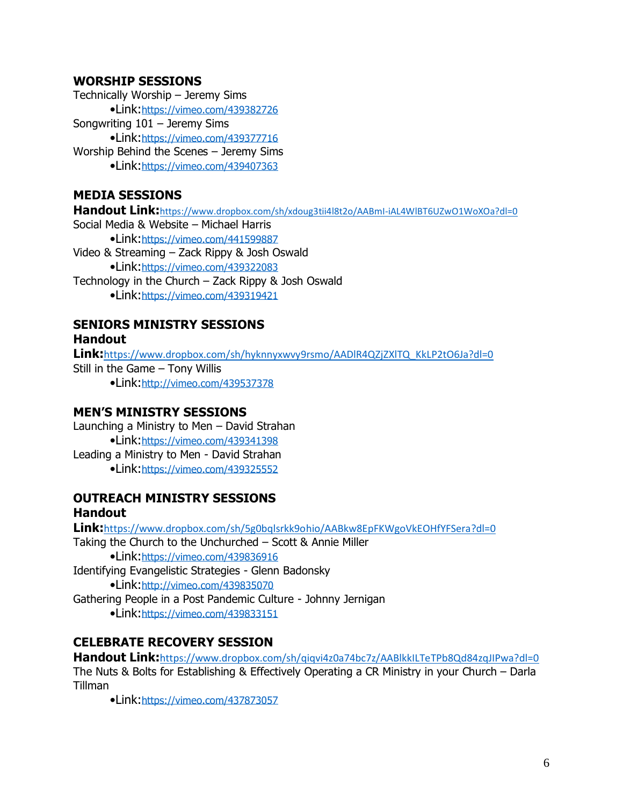#### **WORSHIP SESSIONS**

Technically Worship – Jeremy Sims •Link:<https://vimeo.com/439382726> Songwriting 101 – Jeremy Sims •Link:<https://vimeo.com/439377716> Worship Behind the Scenes – Jeremy Sims •Link:<https://vimeo.com/439407363>

## **MEDIA SESSIONS**

**Handout Link:**<https://www.dropbox.com/sh/xdoug3tii4l8t2o/AABmI-iAL4WlBT6UZwO1WoXOa?dl=0> Social Media & Website – Michael Harris •Link:<https://vimeo.com/441599887> Video & Streaming – Zack Rippy & Josh Oswald •Link:<https://vimeo.com/439322083> Technology in the Church – Zack Rippy & Josh Oswald •Link:<https://vimeo.com/439319421>

#### **SENIORS MINISTRY SESSIONS Handout**

**Link:**[https://www.dropbox.com/sh/hyknnyxwvy9rsmo/AADlR4QZjZXlTQ\\_KkLP2tO6Ja?dl=0](https://www.dropbox.com/sh/hyknnyxwvy9rsmo/AADlR4QZjZXlTQ_KkLP2tO6Ja?dl=0) Still in the Game – Tony Willis •Link:<http://vimeo.com/439537378>

#### **MEN'S MINISTRY SESSIONS**

Launching a Ministry to Men – David Strahan •Link:<https://vimeo.com/439341398> Leading a Ministry to Men - David Strahan •Link:<https://vimeo.com/439325552>

## **OUTREACH MINISTRY SESSIONS Handout**

**Link:**<https://www.dropbox.com/sh/5g0bqlsrkk9ohio/AABkw8EpFKWgoVkEOHfYFSera?dl=0> Taking the Church to the Unchurched – Scott & Annie Miller •Link:<https://vimeo.com/439836916> Identifying Evangelistic Strategies - Glenn Badonsky •Link:<http://vimeo.com/439835070> Gathering People in a Post Pandemic Culture - Johnny Jernigan

•Link:<https://vimeo.com/439833151>

## **CELEBRATE RECOVERY SESSION**

**Handout Link:**<https://www.dropbox.com/sh/qiqvi4z0a74bc7z/AABlkkILTeTPb8Qd84zqJIPwa?dl=0> The Nuts & Bolts for Establishing & Effectively Operating a CR Ministry in your Church – Darla Tillman

•Link:<https://vimeo.com/437873057>